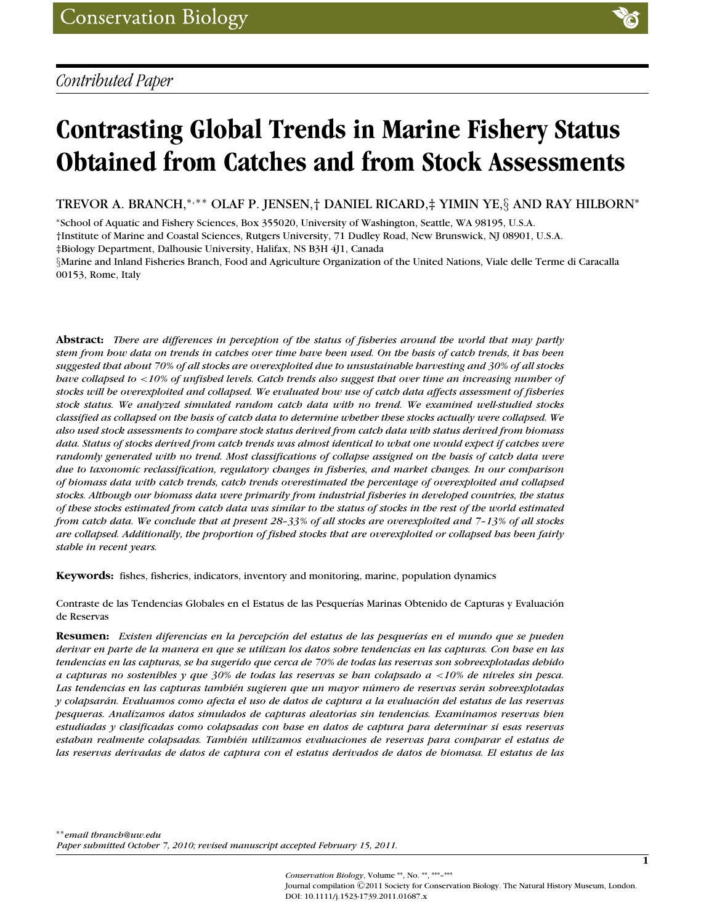# **Contrasting Global Trends in Marine Fishery Status Obtained from Catches and from Stock Assessments**

TREVOR A. BRANCH,\*<sup>,\*\*</sup> OLAF P. JENSEN,† DANIEL RICARD,‡ YIMIN YE,§ AND RAY HILBORN<sup>\*</sup>

<sup>∗</sup>School of Aquatic and Fishery Sciences, Box 355020, University of Washington, Seattle, WA 98195, U.S.A. †Institute of Marine and Coastal Sciences, Rutgers University, 71 Dudley Road, New Brunswick, NJ 08901, U.S.A. ‡Biology Department, Dalhousie University, Halifax, NS B3H 4J1, Canada

§Marine and Inland Fisheries Branch, Food and Agriculture Organization of the United Nations, Viale delle Terme di Caracalla 00153, Rome, Italy

**Abstract:** *There are differences in perception of the status of fisheries around the world that may partly stem from how data on trends in catches over time have been used. On the basis of catch trends, it has been suggested that about 70% of all stocks are overexploited due to unsustainable harvesting and 30% of all stocks have collapsed to* <*10% of unfished levels. Catch trends also suggest that over time an increasing number of stocks will be overexploited and collapsed. We evaluated how use of catch data affects assessment of fisheries stock status. We analyzed simulated random catch data with no trend. We examined well-studied stocks classified as collapsed on the basis of catch data to determine whether these stocks actually were collapsed. We also used stock assessments to compare stock status derived from catch data with status derived from biomass data. Status of stocks derived from catch trends was almost identical to what one would expect if catches were randomly generated with no trend. Most classifications of collapse assigned on the basis of catch data were due to taxonomic reclassification, regulatory changes in fisheries, and market changes. In our comparison of biomass data with catch trends, catch trends overestimated the percentage of overexploited and collapsed stocks. Although our biomass data were primarily from industrial fisheries in developed countries, the status of these stocks estimated from catch data was similar to the status of stocks in the rest of the world estimated from catch data. We conclude that at present 28–33% of all stocks are overexploited and 7–13% of all stocks are collapsed. Additionally, the proportion of fished stocks that are overexploited or collapsed has been fairly stable in recent years.*

**Keywords:** fishes, fisheries, indicators, inventory and monitoring, marine, population dynamics

Contraste de las Tendencias Globales en el Estatus de las Pesquerías Marinas Obtenido de Capturas y Evaluación de Reservas

**Resumen:** *Existen diferencias en la percepcion del estatus de las pesquer ´ ´ıas en el mundo que se pueden derivar en parte de la manera en que se utilizan los datos sobre tendencias en las capturas. Con base en las tendencias en las capturas, se ha sugerido que cerca de 70% de todas las reservas son sobreexplotadas debido a capturas no sostenibles y que 30% de todas las reservas se han colapsado a* <*10% de niveles sin pesca. Las tendencias en las capturas tambi´en sugieren que un mayor numero de reservas ser ´ an sobreexplotadas ´ y colapsaran. Evaluamos como afecta el uso de datos de captura a la evaluaci ´ on del estatus de las reservas ´ pesqueras. Analizamos datos simulados de capturas aleatorias sin tendencias. Examinamos reservas bien estudiadas y clasificadas como colapsadas con base en datos de captura para determinar si esas reservas* estaban realmente colapsadas. También utilizamos evaluaciones de reservas para comparar el estatus de *las reservas derivadas de datos de captura con el estatus derivados de datos de biomasa. El estatus de las*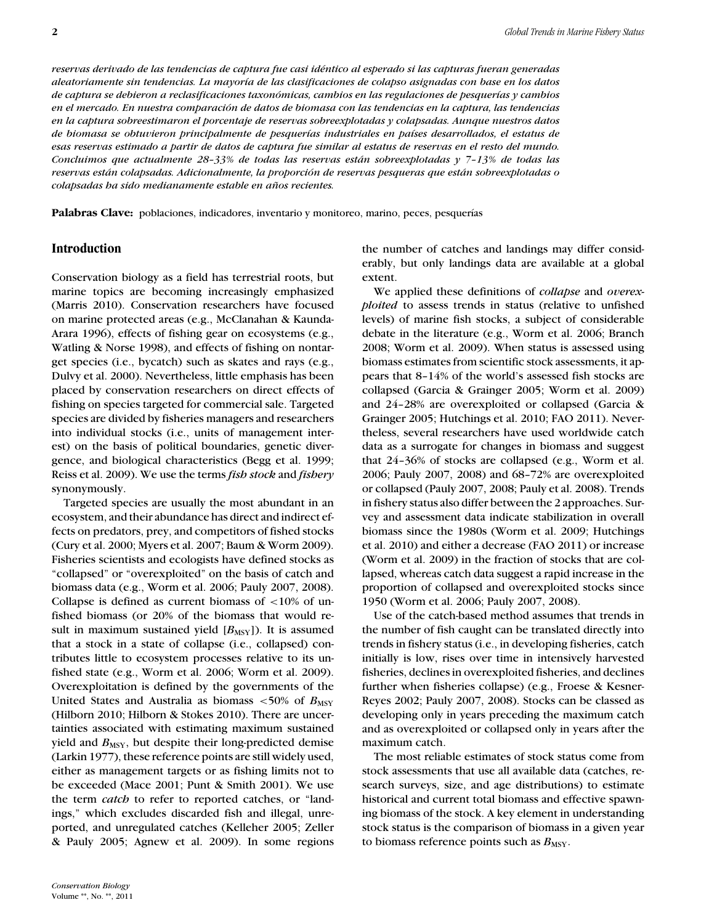*reservas derivado de las tendencias de captura fue casi id´entico al esperado si las capturas fueran generadas aleatoriamente sin tendencias. La mayor´ıa de las clasificaciones de colapso asignadas con base en los datos de captura se debieron a reclasificaciones taxonomicas, cambios en las regulaciones de pesquer ´ ´ıas y cambios en el mercado. En nuestra comparacion de datos de biomasa con las tendencias en la captura, las tendencias ´ en la captura sobreestimaron el porcentaje de reservas sobreexplotadas y colapsadas. Aunque nuestros datos de biomasa se obtuvieron principalmente de pesquer´ıas industriales en pa´ıses desarrollados, el estatus de esas reservas estimado a partir de datos de captura fue similar al estatus de reservas en el resto del mundo. Concluimos que actualmente 28–33% de todas las reservas estan sobreexplotadas y 7–13% de todas las ´ reservas estan colapsadas. Adicionalmente, la proporci ´ on de reservas pesqueras que est ´ an sobreexplotadas o ´ colapsadas ha sido medianamente estable en anos recientes. ˜*

**Palabras Clave:** poblaciones, indicadores, inventario y monitoreo, marino, peces, pesquerías

# **Introduction**

Conservation biology as a field has terrestrial roots, but marine topics are becoming increasingly emphasized (Marris 2010). Conservation researchers have focused on marine protected areas (e.g., McClanahan & Kaunda-Arara 1996), effects of fishing gear on ecosystems (e.g., Watling & Norse 1998), and effects of fishing on nontarget species (i.e., bycatch) such as skates and rays (e.g., Dulvy et al. 2000). Nevertheless, little emphasis has been placed by conservation researchers on direct effects of fishing on species targeted for commercial sale. Targeted species are divided by fisheries managers and researchers into individual stocks (i.e., units of management interest) on the basis of political boundaries, genetic divergence, and biological characteristics (Begg et al. 1999; Reiss et al. 2009). We use the terms *fish stock* and *fishery* synonymously.

Targeted species are usually the most abundant in an ecosystem, and their abundance has direct and indirect effects on predators, prey, and competitors of fished stocks (Cury et al. 2000; Myers et al. 2007; Baum & Worm 2009). Fisheries scientists and ecologists have defined stocks as "collapsed" or "overexploited" on the basis of catch and biomass data (e.g., Worm et al. 2006; Pauly 2007, 2008). Collapse is defined as current biomass of  $\langle 10\% \rangle$  of unfished biomass (or 20% of the biomass that would result in maximum sustained yield  $[B_{\text{MSY}}]$ ). It is assumed that a stock in a state of collapse (i.e., collapsed) contributes little to ecosystem processes relative to its unfished state (e.g., Worm et al. 2006; Worm et al. 2009). Overexploitation is defined by the governments of the United States and Australia as biomass  $\lt 50\%$  of  $B_{\text{MSY}}$ (Hilborn 2010; Hilborn & Stokes 2010). There are uncertainties associated with estimating maximum sustained yield and  $B_{\text{MSY}}$ , but despite their long-predicted demise (Larkin 1977), these reference points are still widely used, either as management targets or as fishing limits not to be exceeded (Mace 2001; Punt & Smith 2001). We use the term *catch* to refer to reported catches, or "landings," which excludes discarded fish and illegal, unreported, and unregulated catches (Kelleher 2005; Zeller & Pauly 2005; Agnew et al. 2009). In some regions

the number of catches and landings may differ considerably, but only landings data are available at a global extent.

We applied these definitions of *collapse* and *overexploited* to assess trends in status (relative to unfished levels) of marine fish stocks, a subject of considerable debate in the literature (e.g., Worm et al. 2006; Branch 2008; Worm et al. 2009). When status is assessed using biomass estimates from scientific stock assessments, it appears that 8–14% of the world's assessed fish stocks are collapsed (Garcia & Grainger 2005; Worm et al. 2009) and 24–28% are overexploited or collapsed (Garcia & Grainger 2005; Hutchings et al. 2010; FAO 2011). Nevertheless, several researchers have used worldwide catch data as a surrogate for changes in biomass and suggest that 24–36% of stocks are collapsed (e.g., Worm et al. 2006; Pauly 2007, 2008) and 68–72% are overexploited or collapsed (Pauly 2007, 2008; Pauly et al. 2008). Trends in fishery status also differ between the 2 approaches. Survey and assessment data indicate stabilization in overall biomass since the 1980s (Worm et al. 2009; Hutchings et al. 2010) and either a decrease (FAO 2011) or increase (Worm et al. 2009) in the fraction of stocks that are collapsed, whereas catch data suggest a rapid increase in the proportion of collapsed and overexploited stocks since 1950 (Worm et al. 2006; Pauly 2007, 2008).

Use of the catch-based method assumes that trends in the number of fish caught can be translated directly into trends in fishery status (i.e., in developing fisheries, catch initially is low, rises over time in intensively harvested fisheries, declines in overexploited fisheries, and declines further when fisheries collapse) (e.g., Froese & Kesner-Reyes 2002; Pauly 2007, 2008). Stocks can be classed as developing only in years preceding the maximum catch and as overexploited or collapsed only in years after the maximum catch.

The most reliable estimates of stock status come from stock assessments that use all available data (catches, research surveys, size, and age distributions) to estimate historical and current total biomass and effective spawning biomass of the stock. A key element in understanding stock status is the comparison of biomass in a given year to biomass reference points such as  $B_{\text{MSY}}$ .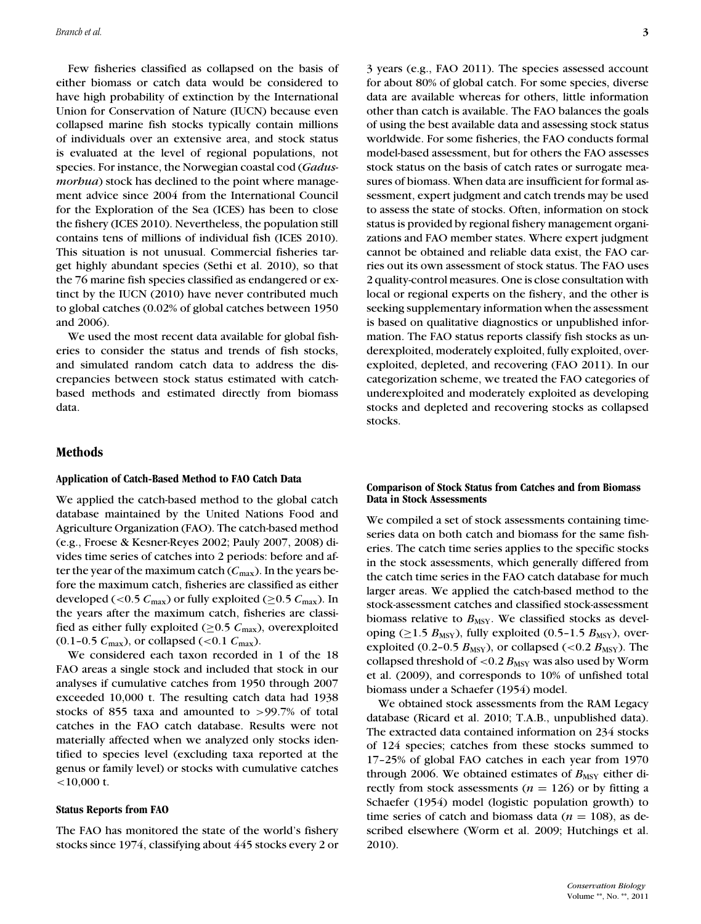Few fisheries classified as collapsed on the basis of either biomass or catch data would be considered to have high probability of extinction by the International Union for Conservation of Nature (IUCN) because even collapsed marine fish stocks typically contain millions of individuals over an extensive area, and stock status is evaluated at the level of regional populations, not species. For instance, the Norwegian coastal cod (*Gadusmorbua*) stock has declined to the point where management advice since 2004 from the International Council for the Exploration of the Sea (ICES) has been to close the fishery (ICES 2010). Nevertheless, the population still contains tens of millions of individual fish (ICES 2010). This situation is not unusual. Commercial fisheries target highly abundant species (Sethi et al. 2010), so that the 76 marine fish species classified as endangered or extinct by the IUCN (2010) have never contributed much to global catches (0.02% of global catches between 1950 and 2006).

We used the most recent data available for global fisheries to consider the status and trends of fish stocks, and simulated random catch data to address the discrepancies between stock status estimated with catchbased methods and estimated directly from biomass data.

## **Methods**

#### **Application of Catch-Based Method to FAO Catch Data**

We applied the catch-based method to the global catch database maintained by the United Nations Food and Agriculture Organization (FAO). The catch-based method (e.g., Froese & Kesner-Reyes 2002; Pauly 2007, 2008) divides time series of catches into 2 periods: before and after the year of the maximum catch  $(C_{\text{max}})$ . In the years before the maximum catch, fisheries are classified as either developed (<0.5  $C_{\text{max}}$ ) or fully exploited ( $\geq$ 0.5  $C_{\text{max}}$ ). In the years after the maximum catch, fisheries are classified as either fully exploited ( $\geq$ 0.5  $C_{\text{max}}$ ), overexploited  $(0.1-0.5 \, \text{C}_{\text{max}})$ , or collapsed (<0.1  $\text{C}_{\text{max}}$ ).

We considered each taxon recorded in 1 of the 18 FAO areas a single stock and included that stock in our analyses if cumulative catches from 1950 through 2007 exceeded 10,000 t. The resulting catch data had 1938 stocks of 855 taxa and amounted to >99.7% of total catches in the FAO catch database. Results were not materially affected when we analyzed only stocks identified to species level (excluding taxa reported at the genus or family level) or stocks with cumulative catches  $<$ 10,000 t.

#### **Status Reports from FAO**

The FAO has monitored the state of the world's fishery stocks since 1974, classifying about 445 stocks every 2 or 3 years (e.g., FAO 2011). The species assessed account for about 80% of global catch. For some species, diverse data are available whereas for others, little information other than catch is available. The FAO balances the goals of using the best available data and assessing stock status worldwide. For some fisheries, the FAO conducts formal model-based assessment, but for others the FAO assesses stock status on the basis of catch rates or surrogate measures of biomass. When data are insufficient for formal assessment, expert judgment and catch trends may be used to assess the state of stocks. Often, information on stock status is provided by regional fishery management organizations and FAO member states. Where expert judgment cannot be obtained and reliable data exist, the FAO carries out its own assessment of stock status. The FAO uses 2 quality-control measures. One is close consultation with local or regional experts on the fishery, and the other is seeking supplementary information when the assessment is based on qualitative diagnostics or unpublished information. The FAO status reports classify fish stocks as underexploited, moderately exploited, fully exploited, overexploited, depleted, and recovering (FAO 2011). In our categorization scheme, we treated the FAO categories of underexploited and moderately exploited as developing stocks and depleted and recovering stocks as collapsed stocks.

#### **Comparison of Stock Status from Catches and from Biomass Data in Stock Assessments**

We compiled a set of stock assessments containing timeseries data on both catch and biomass for the same fisheries. The catch time series applies to the specific stocks in the stock assessments, which generally differed from the catch time series in the FAO catch database for much larger areas. We applied the catch-based method to the stock-assessment catches and classified stock-assessment biomass relative to  $B_{\text{MSY}}$ . We classified stocks as developing ( $\geq$ 1.5  $B_{\text{MSY}}$ ), fully exploited (0.5–1.5  $B_{\text{MSY}}$ ), overexploited (0.2-0.5  $B_{\text{MSY}}$ ), or collapsed (<0.2  $B_{\text{MSY}}$ ). The collapsed threshold of  $< 0.2$   $B_{\text{MSY}}$  was also used by Worm et al. (2009), and corresponds to 10% of unfished total biomass under a Schaefer (1954) model.

We obtained stock assessments from the RAM Legacy database (Ricard et al. 2010; T.A.B., unpublished data). The extracted data contained information on 234 stocks of 124 species; catches from these stocks summed to 17–25% of global FAO catches in each year from 1970 through 2006. We obtained estimates of  $B_{\text{MSY}}$  either directly from stock assessments ( $n = 126$ ) or by fitting a Schaefer (1954) model (logistic population growth) to time series of catch and biomass data ( $n = 108$ ), as described elsewhere (Worm et al. 2009; Hutchings et al. 2010).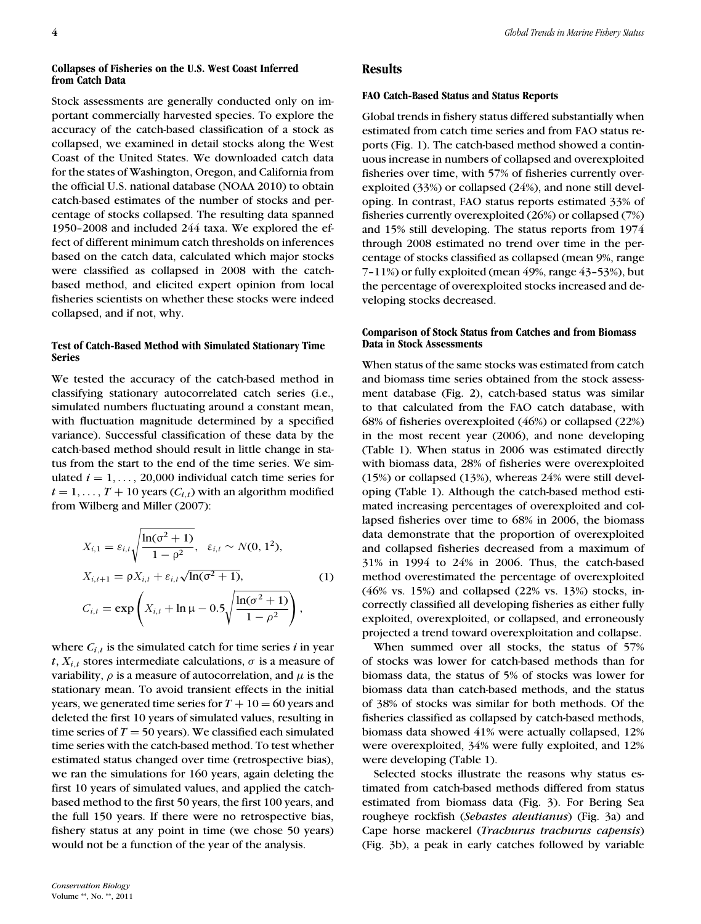#### **Collapses of Fisheries on the U.S. West Coast Inferred from Catch Data**

Stock assessments are generally conducted only on important commercially harvested species. To explore the accuracy of the catch-based classification of a stock as collapsed, we examined in detail stocks along the West Coast of the United States. We downloaded catch data for the states of Washington, Oregon, and California from the official U.S. national database (NOAA 2010) to obtain catch-based estimates of the number of stocks and percentage of stocks collapsed. The resulting data spanned 1950–2008 and included 244 taxa. We explored the effect of different minimum catch thresholds on inferences based on the catch data, calculated which major stocks were classified as collapsed in 2008 with the catchbased method, and elicited expert opinion from local fisheries scientists on whether these stocks were indeed collapsed, and if not, why.

### **Test of Catch-Based Method with Simulated Stationary Time Series**

We tested the accuracy of the catch-based method in classifying stationary autocorrelated catch series (i.e., simulated numbers fluctuating around a constant mean, with fluctuation magnitude determined by a specified variance). Successful classification of these data by the catch-based method should result in little change in status from the start to the end of the time series. We simulated  $i = 1, \ldots, 20,000$  individual catch time series for  $t = 1, \ldots, T + 10$  years  $(C_{i,t})$  with an algorithm modified from Wilberg and Miller (2007):

$$
X_{i,1} = \varepsilon_{i,t} \sqrt{\frac{\ln(\sigma^2 + 1)}{1 - \rho^2}}, \quad \varepsilon_{i,t} \sim N(0, 1^2),
$$
  
\n
$$
X_{i,t+1} = \rho X_{i,t} + \varepsilon_{i,t} \sqrt{\ln(\sigma^2 + 1)},
$$
  
\n
$$
C_{i,t} = \exp\left(X_{i,t} + \ln \mu - 0.5 \sqrt{\frac{\ln(\sigma^2 + 1)}{1 - \rho^2}}\right),
$$
\n(1)

where  $C_{i,t}$  is the simulated catch for time series  $i$  in year  $t, X_{i,t}$  stores intermediate calculations,  $\sigma$  is a measure of variability,  $\rho$  is a measure of autocorrelation, and  $\mu$  is the stationary mean. To avoid transient effects in the initial years, we generated time series for  $T + 10 = 60$  years and deleted the first 10 years of simulated values, resulting in time series of  $T = 50$  years). We classified each simulated time series with the catch-based method. To test whether estimated status changed over time (retrospective bias), we ran the simulations for 160 years, again deleting the first 10 years of simulated values, and applied the catchbased method to the first 50 years, the first 100 years, and the full 150 years. If there were no retrospective bias, fishery status at any point in time (we chose 50 years) would not be a function of the year of the analysis.

### **Results**

#### **FAO Catch-Based Status and Status Reports**

Global trends in fishery status differed substantially when estimated from catch time series and from FAO status reports (Fig. 1). The catch-based method showed a continuous increase in numbers of collapsed and overexploited fisheries over time, with 57% of fisheries currently overexploited (33%) or collapsed (24%), and none still developing. In contrast, FAO status reports estimated 33% of fisheries currently overexploited (26%) or collapsed (7%) and 15% still developing. The status reports from 1974 through 2008 estimated no trend over time in the percentage of stocks classified as collapsed (mean 9%, range 7–11%) or fully exploited (mean 49%, range 43–53%), but the percentage of overexploited stocks increased and developing stocks decreased.

## **Comparison of Stock Status from Catches and from Biomass Data in Stock Assessments**

When status of the same stocks was estimated from catch and biomass time series obtained from the stock assessment database (Fig. 2), catch-based status was similar to that calculated from the FAO catch database, with 68% of fisheries overexploited (46%) or collapsed (22%) in the most recent year (2006), and none developing (Table 1). When status in 2006 was estimated directly with biomass data, 28% of fisheries were overexploited (15%) or collapsed (13%), whereas 24% were still developing (Table 1). Although the catch-based method estimated increasing percentages of overexploited and collapsed fisheries over time to 68% in 2006, the biomass data demonstrate that the proportion of overexploited and collapsed fisheries decreased from a maximum of 31% in 1994 to 24% in 2006. Thus, the catch-based method overestimated the percentage of overexploited (46% vs. 15%) and collapsed (22% vs. 13%) stocks, incorrectly classified all developing fisheries as either fully exploited, overexploited, or collapsed, and erroneously projected a trend toward overexploitation and collapse.

When summed over all stocks, the status of 57% of stocks was lower for catch-based methods than for biomass data, the status of 5% of stocks was lower for biomass data than catch-based methods, and the status of 38% of stocks was similar for both methods. Of the fisheries classified as collapsed by catch-based methods, biomass data showed 41% were actually collapsed, 12% were overexploited, 34% were fully exploited, and 12% were developing (Table 1).

Selected stocks illustrate the reasons why status estimated from catch-based methods differed from status estimated from biomass data (Fig. 3). For Bering Sea rougheye rockfish (*Sebastes aleutianus*) (Fig. 3a) and Cape horse mackerel (*Trachurus trachurus capensis*) (Fig. 3b), a peak in early catches followed by variable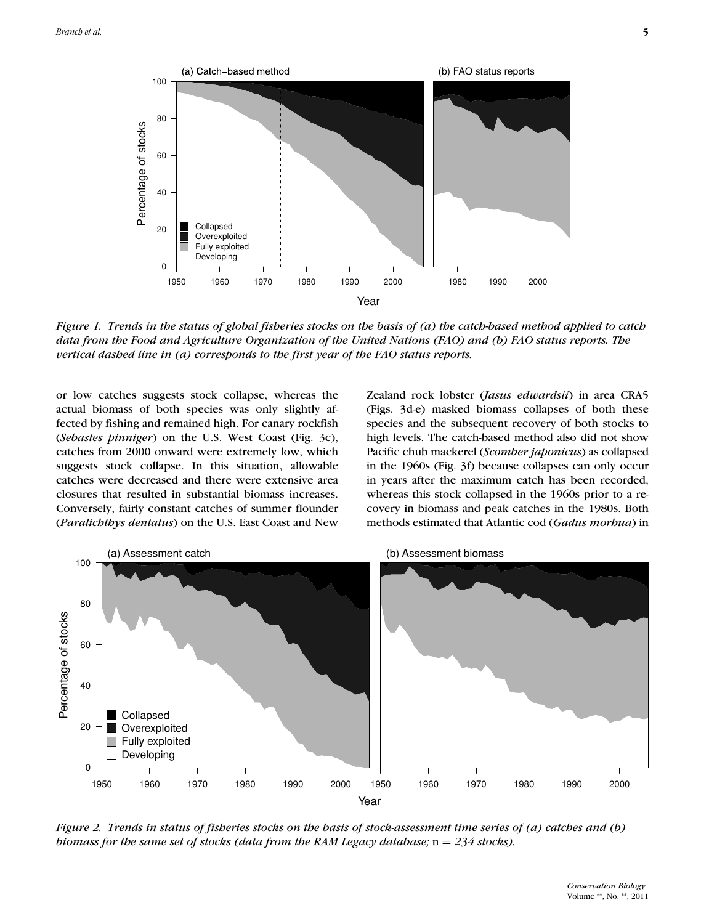

*Figure 1. Trends in the status of global fisheries stocks on the basis of (a) the catch-based method applied to catch data from the Food and Agriculture Organization of the United Nations (FAO) and (b) FAO status reports. The vertical dashed line in (a) corresponds to the first year of the FAO status reports.*

or low catches suggests stock collapse, whereas the actual biomass of both species was only slightly affected by fishing and remained high. For canary rockfish (*Sebastes pinniger*) on the U.S. West Coast (Fig. 3c), catches from 2000 onward were extremely low, which suggests stock collapse. In this situation, allowable catches were decreased and there were extensive area closures that resulted in substantial biomass increases. Conversely, fairly constant catches of summer flounder (*Paralichthys dentatus*) on the U.S. East Coast and New Zealand rock lobster (*Jasus edwardsii*) in area CRA5 (Figs. 3d-e) masked biomass collapses of both these species and the subsequent recovery of both stocks to high levels. The catch-based method also did not show Pacific chub mackerel (*Scomber japonicus*) as collapsed in the 1960s (Fig. 3f) because collapses can only occur in years after the maximum catch has been recorded, whereas this stock collapsed in the 1960s prior to a recovery in biomass and peak catches in the 1980s. Both methods estimated that Atlantic cod (*Gadus morhua*) in



*Figure 2. Trends in status of fisheries stocks on the basis of stock-assessment time series of (a) catches and (b) biomass for the same set of stocks (data from the RAM Legacy database;*  $n = 234$  *stocks).*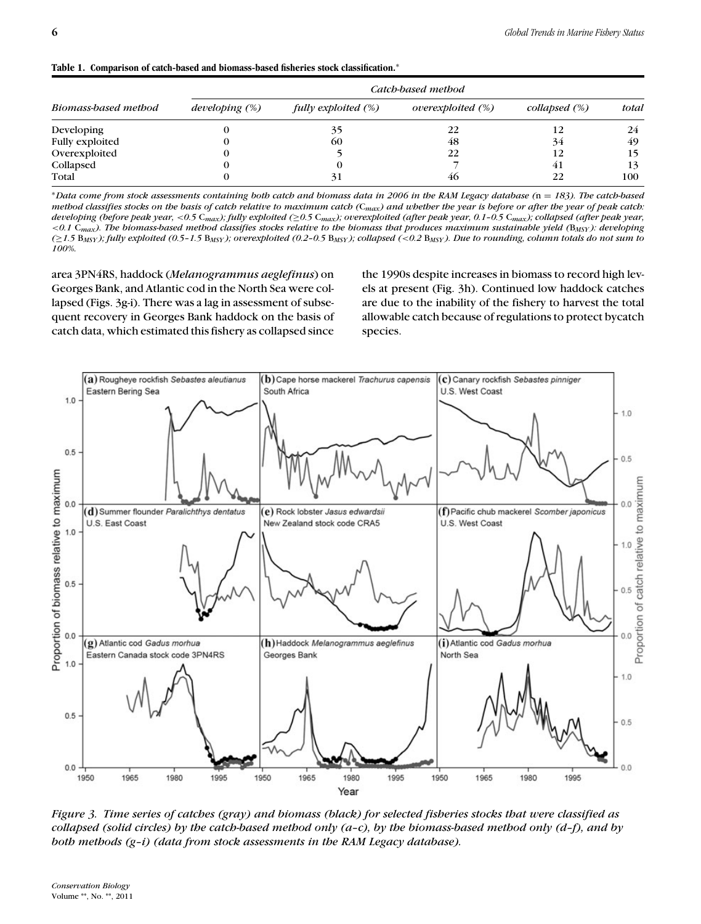|  |  |  |  |  |  |  | Table 1. Comparison of catch-based and biomass-based fisheries stock classification. <sup>*</sup> |
|--|--|--|--|--|--|--|---------------------------------------------------------------------------------------------------|
|--|--|--|--|--|--|--|---------------------------------------------------------------------------------------------------|

|                        |                   | Catch-based method  |                   |                  |       |  |  |  |  |
|------------------------|-------------------|---------------------|-------------------|------------------|-------|--|--|--|--|
| Biomass-based method   | developing $(\%)$ | fully exploited (%) | overexploited (%) | collapsed $(\%)$ | total |  |  |  |  |
| <b>Developing</b>      |                   | 35                  | 22                | 12               | 24    |  |  |  |  |
| <b>Fully exploited</b> |                   | 60                  | 48                | 34               | 49    |  |  |  |  |
| Overexploited          |                   |                     | 22                | 12               | 15    |  |  |  |  |
| Collapsed              |                   |                     |                   | 41               | 13    |  |  |  |  |
| Total                  |                   | 31                  | 46                | 22               | 100   |  |  |  |  |

<sup>∗</sup>*Data come from stock assessments containing both catch and biomass data in 2006 in the RAM Legacy database (*n = *183). The catch-based method classifies stocks on the basis of catch relative to maximum catch (*C*max) and whether the year is before or after the year of peak catch: developing (before peak year,* <*0.5* C*max); fully exploited (*≥*0.5* C*max); overexploited (after peak year, 0.1–0.5* C*max); collapsed (after peak year,* <*0.1* C*max). The biomass-based method classifies stocks relative to the biomass that produces maximum sustainable yield (*B*MSY ): developing (*≥*1.5* B*MSY ); fully exploited (0.5–1.5* B*MSY ); overexploited (0.2–0.5* B*MSY ); collapsed (*<*0.2* B*MSY ). Due to rounding, column totals do not sum to 100%.*

area 3PN4RS, haddock (*Melanogrammus aeglefinus*) on Georges Bank, and Atlantic cod in the North Sea were collapsed (Figs. 3g-i). There was a lag in assessment of subsequent recovery in Georges Bank haddock on the basis of catch data, which estimated this fishery as collapsed since

the 1990s despite increases in biomass to record high levels at present (Fig. 3h). Continued low haddock catches are due to the inability of the fishery to harvest the total allowable catch because of regulations to protect bycatch species.



*Figure 3. Time series of catches (gray) and biomass (black) for selected fisheries stocks that were classified as collapsed (solid circles) by the catch-based method only (a–c), by the biomass-based method only (d–f), and by both methods (g–i) (data from stock assessments in the RAM Legacy database).*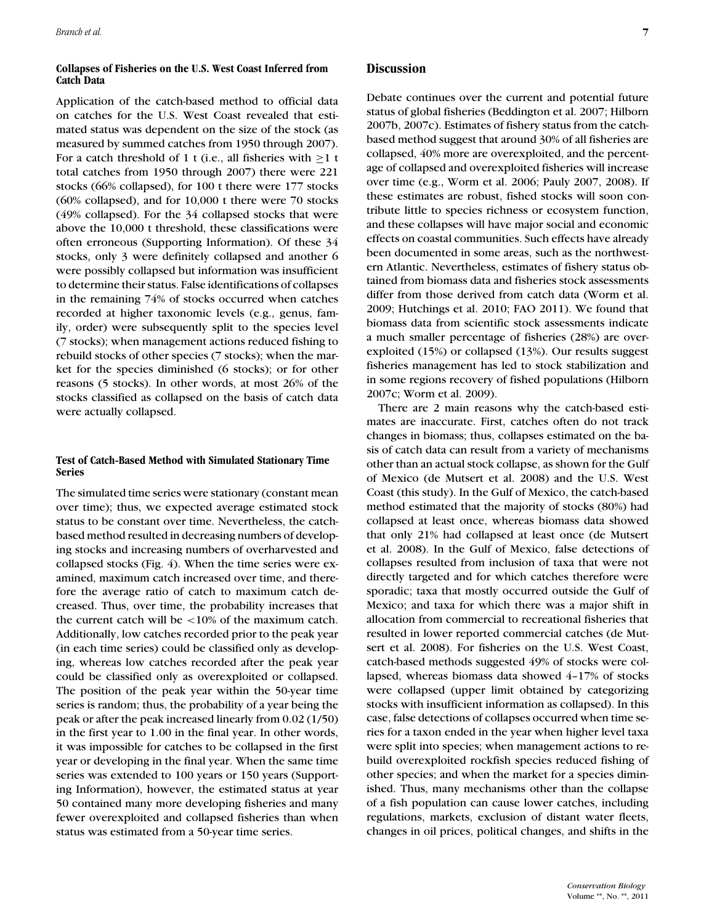## **Collapses of Fisheries on the U.S. West Coast Inferred from Catch Data**

Application of the catch-based method to official data on catches for the U.S. West Coast revealed that estimated status was dependent on the size of the stock (as measured by summed catches from 1950 through 2007). For a catch threshold of 1 t (i.e., all fisheries with  $\geq 1$  t total catches from 1950 through 2007) there were 221 stocks (66% collapsed), for 100 t there were 177 stocks (60% collapsed), and for 10,000 t there were 70 stocks (49% collapsed). For the 34 collapsed stocks that were above the 10,000 t threshold, these classifications were often erroneous (Supporting Information). Of these 34 stocks, only 3 were definitely collapsed and another 6 were possibly collapsed but information was insufficient to determine their status. False identifications of collapses in the remaining 74% of stocks occurred when catches recorded at higher taxonomic levels (e.g., genus, family, order) were subsequently split to the species level (7 stocks); when management actions reduced fishing to rebuild stocks of other species (7 stocks); when the market for the species diminished (6 stocks); or for other reasons (5 stocks). In other words, at most 26% of the stocks classified as collapsed on the basis of catch data were actually collapsed.

# **Test of Catch-Based Method with Simulated Stationary Time Series**

The simulated time series were stationary (constant mean over time); thus, we expected average estimated stock status to be constant over time. Nevertheless, the catchbased method resulted in decreasing numbers of developing stocks and increasing numbers of overharvested and collapsed stocks (Fig. 4). When the time series were examined, maximum catch increased over time, and therefore the average ratio of catch to maximum catch decreased. Thus, over time, the probability increases that the current catch will be <10% of the maximum catch. Additionally, low catches recorded prior to the peak year (in each time series) could be classified only as developing, whereas low catches recorded after the peak year could be classified only as overexploited or collapsed. The position of the peak year within the 50-year time series is random; thus, the probability of a year being the peak or after the peak increased linearly from 0.02 (1/50) in the first year to 1.00 in the final year. In other words, it was impossible for catches to be collapsed in the first year or developing in the final year. When the same time series was extended to 100 years or 150 years (Supporting Information), however, the estimated status at year 50 contained many more developing fisheries and many fewer overexploited and collapsed fisheries than when status was estimated from a 50-year time series.

# **Discussion**

Debate continues over the current and potential future status of global fisheries (Beddington et al. 2007; Hilborn 2007b, 2007c). Estimates of fishery status from the catchbased method suggest that around 30% of all fisheries are collapsed, 40% more are overexploited, and the percentage of collapsed and overexploited fisheries will increase over time (e.g., Worm et al. 2006; Pauly 2007, 2008). If these estimates are robust, fished stocks will soon contribute little to species richness or ecosystem function, and these collapses will have major social and economic effects on coastal communities. Such effects have already been documented in some areas, such as the northwestern Atlantic. Nevertheless, estimates of fishery status obtained from biomass data and fisheries stock assessments differ from those derived from catch data (Worm et al. 2009; Hutchings et al. 2010; FAO 2011). We found that biomass data from scientific stock assessments indicate a much smaller percentage of fisheries (28%) are overexploited (15%) or collapsed (13%). Our results suggest fisheries management has led to stock stabilization and in some regions recovery of fished populations (Hilborn 2007c; Worm et al. 2009).

There are 2 main reasons why the catch-based estimates are inaccurate. First, catches often do not track changes in biomass; thus, collapses estimated on the basis of catch data can result from a variety of mechanisms other than an actual stock collapse, as shown for the Gulf of Mexico (de Mutsert et al. 2008) and the U.S. West Coast (this study). In the Gulf of Mexico, the catch-based method estimated that the majority of stocks (80%) had collapsed at least once, whereas biomass data showed that only 21% had collapsed at least once (de Mutsert et al. 2008). In the Gulf of Mexico, false detections of collapses resulted from inclusion of taxa that were not directly targeted and for which catches therefore were sporadic; taxa that mostly occurred outside the Gulf of Mexico; and taxa for which there was a major shift in allocation from commercial to recreational fisheries that resulted in lower reported commercial catches (de Mutsert et al. 2008). For fisheries on the U.S. West Coast, catch-based methods suggested 49% of stocks were collapsed, whereas biomass data showed 4–17% of stocks were collapsed (upper limit obtained by categorizing stocks with insufficient information as collapsed). In this case, false detections of collapses occurred when time series for a taxon ended in the year when higher level taxa were split into species; when management actions to rebuild overexploited rockfish species reduced fishing of other species; and when the market for a species diminished. Thus, many mechanisms other than the collapse of a fish population can cause lower catches, including regulations, markets, exclusion of distant water fleets, changes in oil prices, political changes, and shifts in the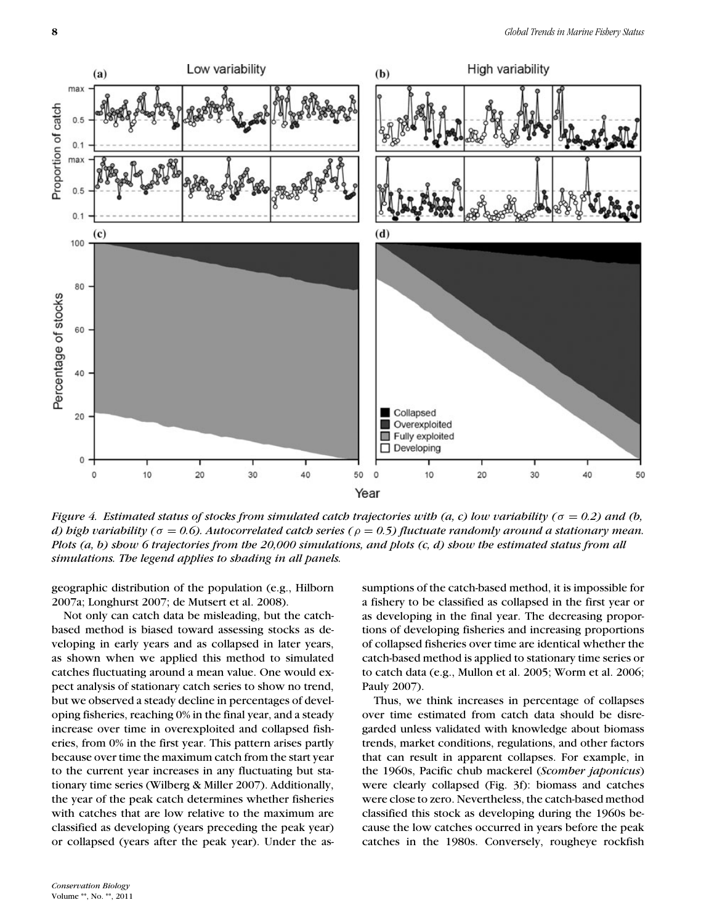

*Figure 4. Estimated status of stocks from simulated catch trajectories with (a, c) low variability (*σ = *0.2) and (b, d) high variability (*σ = *0.6). Autocorrelated catch series (*ρ = *0.5) fluctuate randomly around a stationary mean. Plots (a, b) show 6 trajectories from the 20,000 simulations, and plots (c, d) show the estimated status from all simulations. The legend applies to shading in all panels.*

geographic distribution of the population (e.g., Hilborn 2007a; Longhurst 2007; de Mutsert et al. 2008).

Not only can catch data be misleading, but the catchbased method is biased toward assessing stocks as developing in early years and as collapsed in later years, as shown when we applied this method to simulated catches fluctuating around a mean value. One would expect analysis of stationary catch series to show no trend, but we observed a steady decline in percentages of developing fisheries, reaching 0% in the final year, and a steady increase over time in overexploited and collapsed fisheries, from 0% in the first year. This pattern arises partly because over time the maximum catch from the start year to the current year increases in any fluctuating but stationary time series (Wilberg & Miller 2007). Additionally, the year of the peak catch determines whether fisheries with catches that are low relative to the maximum are classified as developing (years preceding the peak year) or collapsed (years after the peak year). Under the assumptions of the catch-based method, it is impossible for a fishery to be classified as collapsed in the first year or as developing in the final year. The decreasing proportions of developing fisheries and increasing proportions of collapsed fisheries over time are identical whether the catch-based method is applied to stationary time series or to catch data (e.g., Mullon et al. 2005; Worm et al. 2006; Pauly 2007).

Thus, we think increases in percentage of collapses over time estimated from catch data should be disregarded unless validated with knowledge about biomass trends, market conditions, regulations, and other factors that can result in apparent collapses. For example, in the 1960s, Pacific chub mackerel (*Scomber japonicus*) were clearly collapsed (Fig. 3f): biomass and catches were close to zero. Nevertheless, the catch-based method classified this stock as developing during the 1960s because the low catches occurred in years before the peak catches in the 1980s. Conversely, rougheye rockfish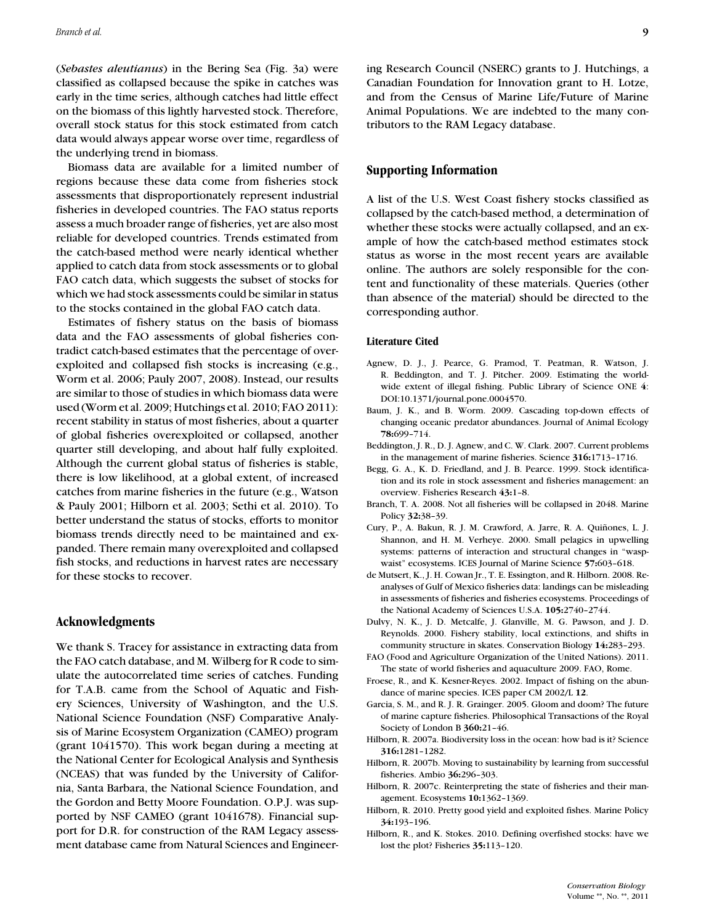(*Sebastes aleutianus*) in the Bering Sea (Fig. 3a) were classified as collapsed because the spike in catches was early in the time series, although catches had little effect on the biomass of this lightly harvested stock. Therefore, overall stock status for this stock estimated from catch data would always appear worse over time, regardless of the underlying trend in biomass.

Biomass data are available for a limited number of regions because these data come from fisheries stock assessments that disproportionately represent industrial fisheries in developed countries. The FAO status reports assess a much broader range of fisheries, yet are also most reliable for developed countries. Trends estimated from the catch-based method were nearly identical whether applied to catch data from stock assessments or to global FAO catch data, which suggests the subset of stocks for which we had stock assessments could be similar in status to the stocks contained in the global FAO catch data.

Estimates of fishery status on the basis of biomass data and the FAO assessments of global fisheries contradict catch-based estimates that the percentage of overexploited and collapsed fish stocks is increasing (e.g., Worm et al. 2006; Pauly 2007, 2008). Instead, our results are similar to those of studies in which biomass data were used (Worm et al. 2009; Hutchings et al. 2010; FAO 2011): recent stability in status of most fisheries, about a quarter of global fisheries overexploited or collapsed, another quarter still developing, and about half fully exploited. Although the current global status of fisheries is stable, there is low likelihood, at a global extent, of increased catches from marine fisheries in the future (e.g., Watson & Pauly 2001; Hilborn et al. 2003; Sethi et al. 2010). To better understand the status of stocks, efforts to monitor biomass trends directly need to be maintained and expanded. There remain many overexploited and collapsed fish stocks, and reductions in harvest rates are necessary for these stocks to recover.

# **Acknowledgments**

We thank S. Tracey for assistance in extracting data from the FAO catch database, and M. Wilberg for R code to simulate the autocorrelated time series of catches. Funding for T.A.B. came from the School of Aquatic and Fishery Sciences, University of Washington, and the U.S. National Science Foundation (NSF) Comparative Analysis of Marine Ecosystem Organization (CAMEO) program (grant 1041570). This work began during a meeting at the National Center for Ecological Analysis and Synthesis (NCEAS) that was funded by the University of California, Santa Barbara, the National Science Foundation, and the Gordon and Betty Moore Foundation. O.P.J. was supported by NSF CAMEO (grant 1041678). Financial support for D.R. for construction of the RAM Legacy assessment database came from Natural Sciences and Engineering Research Council (NSERC) grants to J. Hutchings, a Canadian Foundation for Innovation grant to H. Lotze, and from the Census of Marine Life/Future of Marine Animal Populations. We are indebted to the many contributors to the RAM Legacy database.

## **Supporting Information**

A list of the U.S. West Coast fishery stocks classified as collapsed by the catch-based method, a determination of whether these stocks were actually collapsed, and an example of how the catch-based method estimates stock status as worse in the most recent years are available online. The authors are solely responsible for the content and functionality of these materials. Queries (other than absence of the material) should be directed to the corresponding author.

#### **Literature Cited**

- Agnew, D. J., J. Pearce, G. Pramod, T. Peatman, R. Watson, J. R. Beddington, and T. J. Pitcher. 2009. Estimating the worldwide extent of illegal fishing. Public Library of Science ONE **4**: DOI:10.1371/journal.pone.0004570.
- Baum, J. K., and B. Worm. 2009. Cascading top-down effects of changing oceanic predator abundances. Journal of Animal Ecology **78:**699–714.
- Beddington, J. R., D. J. Agnew, and C. W. Clark. 2007. Current problems in the management of marine fisheries. Science **316:**1713–1716.
- Begg, G. A., K. D. Friedland, and J. B. Pearce. 1999. Stock identification and its role in stock assessment and fisheries management: an overview. Fisheries Research **43:**1–8.
- Branch, T. A. 2008. Not all fisheries will be collapsed in 2048. Marine Policy **32:**38–39.
- Cury, P., A. Bakun, R. J. M. Crawford, A. Jarre, R. A. Quiñones, L. J. Shannon, and H. M. Verheye. 2000. Small pelagics in upwelling systems: patterns of interaction and structural changes in "waspwaist" ecosystems. ICES Journal of Marine Science **57:**603–618.
- de Mutsert, K., J. H. Cowan Jr., T. E. Essington, and R. Hilborn. 2008. Reanalyses of Gulf of Mexico fisheries data: landings can be misleading in assessments of fisheries and fisheries ecosystems. Proceedings of the National Academy of Sciences U.S.A. **105:**2740–2744.
- Dulvy, N. K., J. D. Metcalfe, J. Glanville, M. G. Pawson, and J. D. Reynolds. 2000. Fishery stability, local extinctions, and shifts in community structure in skates. Conservation Biology **14:**283–293.
- FAO (Food and Agriculture Organization of the United Nations). 2011. The state of world fisheries and aquaculture 2009. FAO, Rome.
- Froese, R., and K. Kesner-Reyes. 2002. Impact of fishing on the abundance of marine species. ICES paper CM 2002/L **12**.
- Garcia, S. M., and R. J. R. Grainger. 2005. Gloom and doom? The future of marine capture fisheries. Philosophical Transactions of the Royal Society of London B **360:**21–46.
- Hilborn, R. 2007a. Biodiversity loss in the ocean: how bad is it? Science **316:**1281–1282.
- Hilborn, R. 2007b. Moving to sustainability by learning from successful fisheries. Ambio **36:**296–303.
- Hilborn, R. 2007c. Reinterpreting the state of fisheries and their management. Ecosystems **10:**1362–1369.
- Hilborn, R. 2010. Pretty good yield and exploited fishes. Marine Policy **34:**193–196.
- Hilborn, R., and K. Stokes. 2010. Defining overfished stocks: have we lost the plot? Fisheries **35:**113–120.